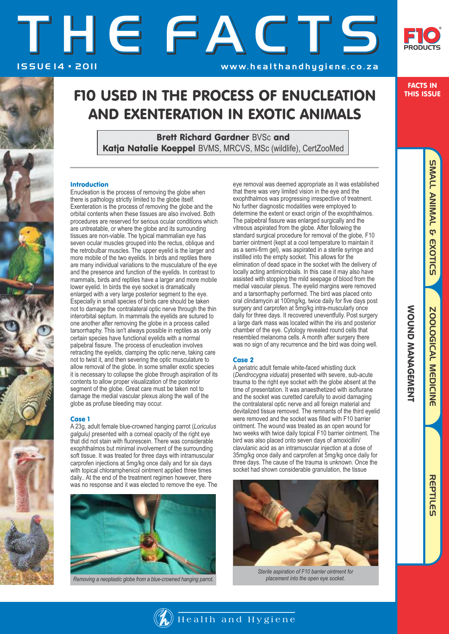# THEFACTS ISSUE 14 · 2011 1550 www.healthandhygiene.co.za



## F10 USED IN THE PROCESS OF ENUCLEATION AND EXENTERATION IN EXOTIC ANIMALS

Brett Richard Gardner BVSc and Katja Natalie Koeppel BVMS, MRCVS, MSc (wildlife), CertZooMed

### Introduction

Enucleation is the process of removing the globe when there is pathology strictly limited to the globe itself. Exenteration is the process of removing the globe and the orbital contents when these tissues are also involved. Both procedures are reserved for serious ocular conditions which are untreatable, or where the globe and its surrounding tissues are non-viable. The typical mammalian eye has seven ocular muscles grouped into the rectus, oblique and the retrobulbar muscles. The upper eyelid is the larger and more mobile of the two eyelids. In birds and reptiles there are many individual variations to the musculature of the eye and the presence and function of the eyelids. In contrast to mammals, birds and reptiles have a larger and more mobile lower eyelid. In birds the eye socket is dramatically enlarged with a very large posterior segment to the eye. Especially in small species of birds care should be taken not to damage the contralateral optic nerve through the thin interorbital septum. In mammals the eyelids are sutured to one another after removing the globe in a process called tarsorrhaphy. This isn't always possible in reptiles as only certain species have functional eyelids with a normal palpebral fissure. The process of enucleation involves retracting the eyelids, clamping the optic nerve, taking care not to twist it, and then severing the optic musculature to allow removal of the globe. In some smaller exotic species it is necessary to collapse the globe through aspiration of its contents to allow proper visualization of the posterior segment of the globe. Great care must be taken not to damage the medial vascular plexus along the wall of the globe as profuse bleeding may occur.

### Case 1

A 23g, adult female blue-crowned hanging parrot (*Loriculus galgulu)* presented with a corneal opacity of the right eye that did not stain with fluorescein. There was considerable exophthalmos but minimal involvement of the surrounding soft tissue. It was treated for three days with intramuscular carprofen injections at 5mg/kg once daily and for six days with topical chloramphenicol ointment applied three times daily.. At the end of the treatment regimen however, there was no response and it was elected to remove the eye. The



*Removing a neoplastic globe from a blue-crowned hanging parrot.*

eye removal was deemed appropriate as it was established that there was very limited vision in the eye and the exophthalmos was progressing irrespective of treatment. No further diagnostic modalities were employed to determine the extent or exact origin of the exophthalmos. The palpebral fissure was enlarged surgically and the vitreous aspirated from the globe. After following the standard surgical procedure for removal of the globe, F10 barrier ointment (kept at a cool temperature to maintain it as a semi-firm gel), was aspirated in a sterile syringe and instilled into the empty socket. This allows for the elimination of dead space in the socket with the delivery of locally acting antimicrobials. In this case it may also have assisted with stopping the mild seepage of blood from the medial vascular plexus. The eyelid margins were removed and a tarsorrhaphy performed. The bird was placed onto oral clindamycin at 100mg/kg, twice daily for five days post surgery and carprofen at 5mg/kg intra-muscularly once daily for three days. It recovered uneventfully. Post surgery a large dark mass was located within the iris and posterior chamber of the eye. Cytology revealed round cells that resembled melanoma cells. A month after surgery there was no sign of any recurrence and the bird was doing well.

### Case 2

 $\Box$  Health and Hygiene

A geriatric adult female white-faced whistling duck (*Dendrocygna viduata*) presented with severe, sub-acute trauma to the right eye socket with the globe absent at the time of presentation. It was anaesthetized with isoflurane and the socket was curetted carefully to avoid damaging the contralateral optic nerve and all foreign material and devitalized tissue removed. The remnants of the third eyelid were removed and the socket was filled with F10 barrier ointment. The wound was treated as an open wound for two weeks with twice daily topical F10 barrier ointment. The bird was also placed onto seven days of amoxicillin/ clavulanic acid as an intramuscular injection at a dose of 35mg/kg once daily and carprofen at 5mg/kg once daily for three days. The cause of the trauma is unknown. Once the socket had shown considerable granulation, the tissue



*Sterile aspiration of F10 barrier ointment for placement into the open eye socket.*

### FACTS IN THIS ISSUE

REPTILES SMALL ANIMAL & EXOTIC **SMALL ANIMAL & EXOTICS** 

WOUND MANAGEMENT

**NOUND NANAGEMENT**